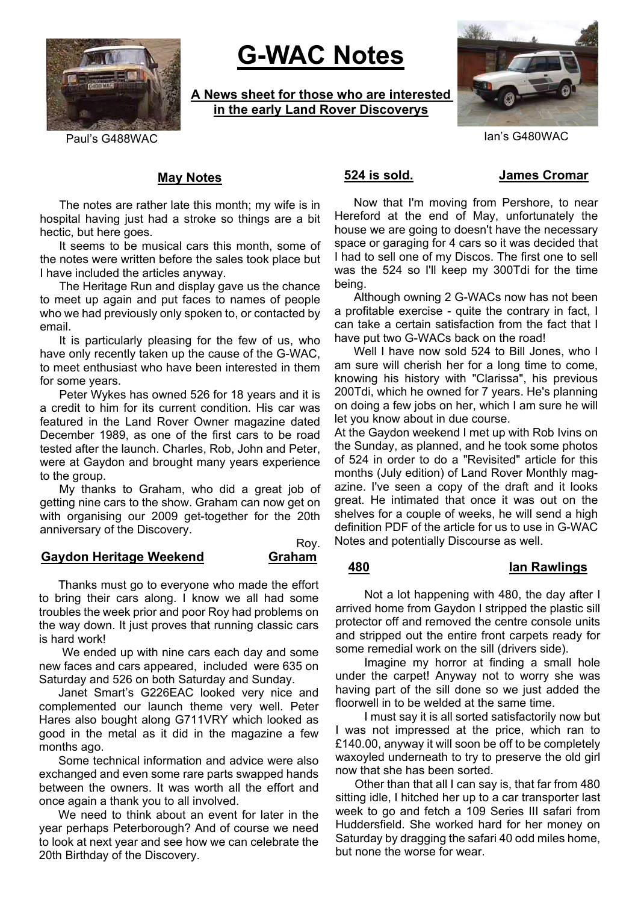

# **G-WAC Notes**

**A News sheet for those who are interested in the early Land Rover Discoverys**



Paul's G488WAC Ian's G480WAC

## **May Notes**

The notes are rather late this month; my wife is in hospital having just had a stroke so things are a bit hectic, but here goes.

It seems to be musical cars this month, some of the notes were written before the sales took place but I have included the articles anyway.

The Heritage Run and display gave us the chance to meet up again and put faces to names of people who we had previously only spoken to, or contacted by email.

It is particularly pleasing for the few of us, who have only recently taken up the cause of the G-WAC, to meet enthusiast who have been interested in them for some years.

Peter Wykes has owned 526 for 18 years and it is a credit to him for its current condition. His car was featured in the Land Rover Owner magazine dated December 1989, as one of the first cars to be road tested after the launch. Charles, Rob, John and Peter, were at Gaydon and brought many years experience to the group.

My thanks to Graham, who did a great job of getting nine cars to the show. Graham can now get on with organising our 2009 get-together for the 20th anniversary of the Discovery.

### **Gaydon Heritage Weekend Graham**

# Roy.

Thanks must go to everyone who made the effort to bring their cars along. I know we all had some troubles the week prior and poor Roy had problems on the way down. It just proves that running classic cars is hard work!

 We ended up with nine cars each day and some new faces and cars appeared, included were 635 on Saturday and 526 on both Saturday and Sunday.

Janet Smart's G226EAC looked very nice and complemented our launch theme very well. Peter Hares also bought along G711VRY which looked as good in the metal as it did in the magazine a few months ago.

Some technical information and advice were also exchanged and even some rare parts swapped hands between the owners. It was worth all the effort and once again a thank you to all involved.

We need to think about an event for later in the year perhaps Peterborough? And of course we need to look at next year and see how we can celebrate the 20th Birthday of the Discovery.

# **524 is sold. James Cromar**

Now that I'm moving from Pershore, to near Hereford at the end of May, unfortunately the house we are going to doesn't have the necessary space or garaging for 4 cars so it was decided that I had to sell one of my Discos. The first one to sell was the 524 so I'll keep my 300Tdi for the time being.

Although owning 2 G-WACs now has not been a profitable exercise - quite the contrary in fact, I can take a certain satisfaction from the fact that I have put two G-WACs back on the road!

Well I have now sold 524 to Bill Jones, who I am sure will cherish her for a long time to come, knowing his history with "Clarissa", his previous 200Tdi, which he owned for 7 years. He's planning on doing a few jobs on her, which I am sure he will let you know about in due course.

At the Gaydon weekend I met up with Rob Ivins on the Sunday, as planned, and he took some photos of 524 in order to do a "Revisited" article for this months (July edition) of Land Rover Monthly magazine. I've seen a copy of the draft and it looks great. He intimated that once it was out on the shelves for a couple of weeks, he will send a high definition PDF of the article for us to use in G-WAC Notes and potentially Discourse as well.

### **480 Ian Rawlings**

Not a lot happening with 480, the day after I arrived home from Gaydon I stripped the plastic sill protector off and removed the centre console units and stripped out the entire front carpets ready for some remedial work on the sill (drivers side).

Imagine my horror at finding a small hole under the carpet! Anyway not to worry she was having part of the sill done so we just added the floorwell in to be welded at the same time.

I must say it is all sorted satisfactorily now but I was not impressed at the price, which ran to £140.00, anyway it will soon be off to be completely waxoyled underneath to try to preserve the old girl now that she has been sorted.

Other than that all I can say is, that far from 480 sitting idle, I hitched her up to a car transporter last week to go and fetch a 109 Series III safari from Huddersfield. She worked hard for her money on Saturday by dragging the safari 40 odd miles home, but none the worse for wear.